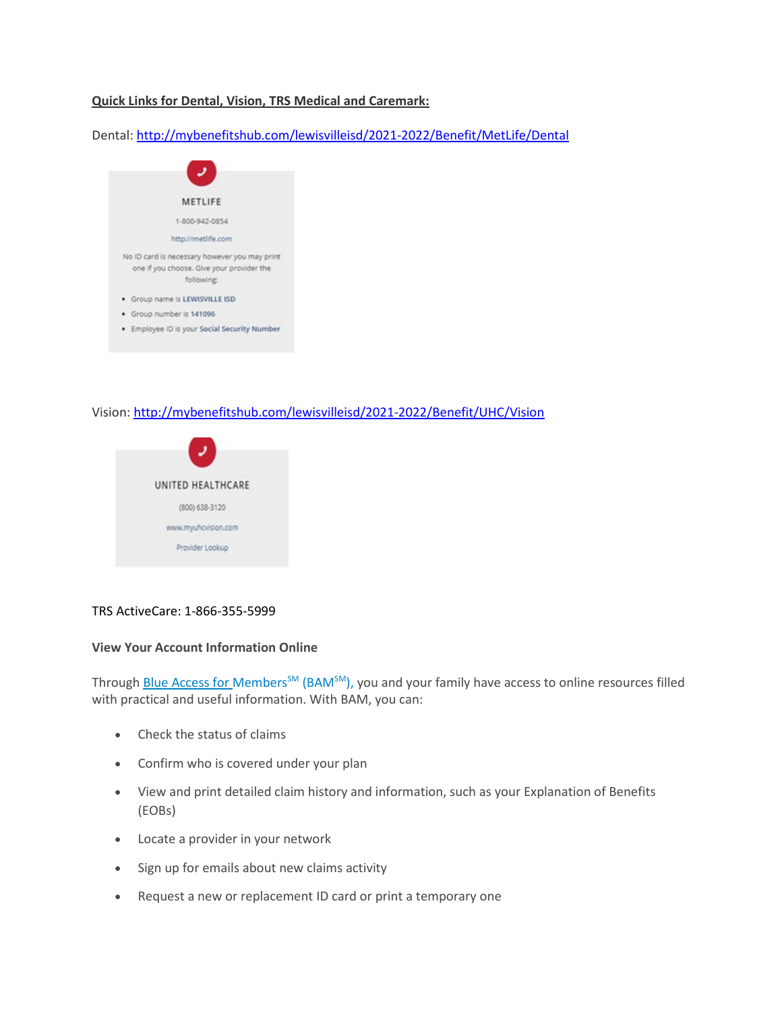# **Quick Links for Dental, Vision, TRS Medical and Caremark:**

Dental: [http://mybenefitshub.com/lewisvilleisd/2021-2022/Benefit/MetLife/Dental](http://secure-web.cisco.com/16bDGGp-JIq487cAjBwsoW8YtLIO7YhEvnyt_BGtT-g5BIafqK9pgeMZkD0LiGjv2VJ1FDnS7kXv3TxWZyEKB4-6CKljjUgR8zUhmbgs9L5z3rxgp8lJBZF-wuv1ix6La5QG_EFY75nloy2IS-dTcboGaz9aOX96g-ZkznjbUjpfw1SfyPJdwEMGEAkdCH1xXIWOWUgrP_cMhGfzRhtwBU2bDWZohSQDVKT7Qav_zWROqWmgE-eVKLFYw12RTxhe7RB5-tNPO13NNGIR7fqH9D2DNWe9fEr1fgav4PaPeUBpj4oCGzXki5OXMRgnXWOo9l-R4FcGUUnzNdBVIZ1GdJxr4rRehnBUf1dZesu8wPejF78kHKIDeluq-zl8XgINDNDQ682KCBs4AdxOGEMt7mg/http%3A%2F%2Fmybenefitshub.com%2Flewisvilleisd%2F2021-2022%2FBenefit%2FMetLife%2FDental)



# Vision: [http://mybenefitshub.com/lewisvilleisd/2021-2022/Benefit/UHC/Vision](http://secure-web.cisco.com/1dqRMj4bnXOFDIqZdWx6QimdWDiKGsJjTwnKLYVJUEYLRwyoouSGBgD9T0XbtnWwtQ8qpHQ2T9zd1uXw1FkDLPxM6YZrNdA4l4Y8JSZMHce-uQnUkYWZLjgen922ollr0DrEx7Vm5acFtASvX1CFphhjCwI1i8Sayseo82V6eePb3UTpBPHHkFSGyAwZUeWnXf5s226ppJMqVUBvYyYYPpsvgTadTGHpkTEpQcqzBe8lIFFsQu8il8Vey9O-7MnmDMa0rJpBw33hbJiNPi32hbTu13u28QR1F87WNZ8ygSM_AOtvsA6K_Uo3CRuXijffG1O42jhHyIH4QSQ2gxwZlAJQNfp8qUK_3Cp79vC0JEscCYfESzJ5wxVNot_5Z4U5Ixhq71cup6miKktxKRjpQiw/http%3A%2F%2Fmybenefitshub.com%2Flewisvilleisd%2F2021-2022%2FBenefit%2FUHC%2FVision)



## TRS ActiveCare: 1-866-355-5999

#### **View Your Account Information Online**

Through [Blue Access for](https://members.hcsc.net/wps/PA_BAMLogin/bamGateway?corpEntCode=TX1) Members<sup>SM</sup> (BAM<sup>SM</sup>), you and your family have access to online resources filled with practical and useful information. With BAM, you can:

- Check the status of claims
- Confirm who is covered under your plan
- View and print detailed claim history and information, such as your Explanation of Benefits (EOBs)
- Locate a provider in your network
- Sign up for emails about new claims activity
- Request a new or replacement ID card or print a temporary one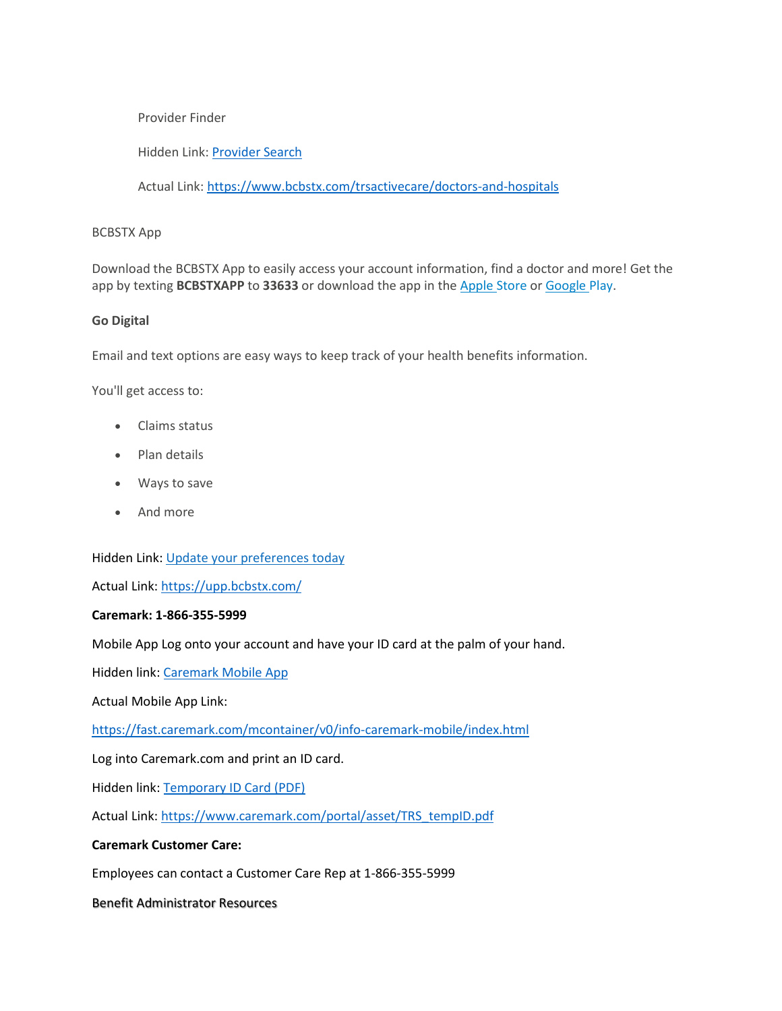## Provider Finder

Hidden Link: [Provider Search](https://www.bcbstx.com/trsactivecare/doctors-and-hospitals)

Actual Link:<https://www.bcbstx.com/trsactivecare/doctors-and-hospitals>

## BCBSTX App

Download the BCBSTX App to easily access your account information, find a doctor and more! Get the app by texting **BCBSTXAPP** to **33633** or download the app in the [Apple](https://apps.apple.com/us/app/find-doctors-find-provider/id573016251) Store or [Google](https://play.google.com/store/apps/details?id=com.hcsc.android.providerfindertx&hl=en) Play.

## **Go Digital**

Email and text options are easy ways to keep track of your health benefits information.

You'll get access to:

- Claims status
- Plan details
- Ways to save
- And more

Hidden Link: [Update your](https://upp.bcbstx.com/) preferences today

Actual Link:<https://upp.bcbstx.com/>

#### **Caremark: 1-866-355-5999**

Mobile App Log onto your account and have your ID card at the palm of your hand.

Hidden link: [Caremark Mobile App](https://fast.caremark.com/mcontainer/v0/info-caremark-mobile/index.html)

Actual Mobile App Link:

<https://fast.caremark.com/mcontainer/v0/info-caremark-mobile/index.html>

Log into Caremark.com and print an ID card.

Hidden link: [Temporary ID Card \(PDF\)](https://www.caremark.com/portal/asset/TRS_tempID.pdf)

Actual Link: [https://www.caremark.com/portal/asset/TRS\\_tempID.pdf](https://www.caremark.com/portal/asset/TRS_tempID.pdf)

## **Caremark Customer Care:**

Employees can contact a Customer Care Rep at 1-866-355-5999

Benefit Administrator Resources